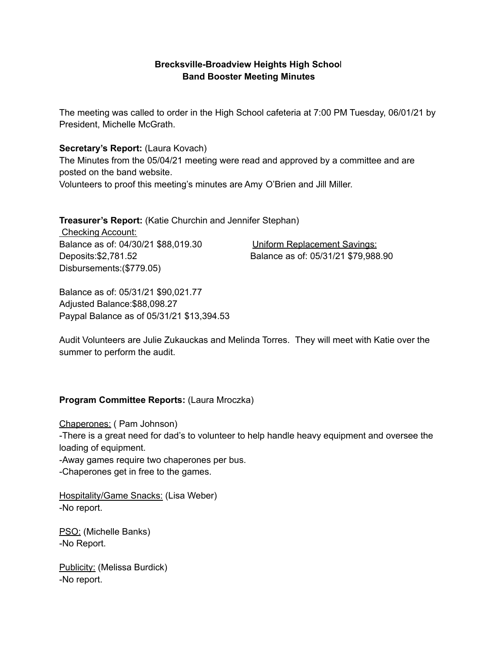### **Brecksville-Broadview Heights High Schoo**l **Band Booster Meeting Minutes**

The meeting was called to order in the High School cafeteria at 7:00 PM Tuesday, 06/01/21 by President, Michelle McGrath.

#### **Secretary's Report:** (Laura Kovach)

The Minutes from the 05/04/21 meeting were read and approved by a committee and are posted on the band website. Volunteers to proof this meeting's minutes are Amy O'Brien and Jill Miller.

**Treasurer's Report:** (Katie Churchin and Jennifer Stephan)

Checking Account: Balance as of: 04/30/21 \$88,019.30 Uniform Replacement Savings: Deposits:\$2,781.52 Balance as of: 05/31/21 \$79,988.90 Disbursements:(\$779.05)

Balance as of: 05/31/21 \$90,021.77 Adjusted Balance:\$88,098.27 Paypal Balance as of 05/31/21 \$13,394.53

Audit Volunteers are Julie Zukauckas and Melinda Torres. They will meet with Katie over the summer to perform the audit.

#### **Program Committee Reports:** (Laura Mroczka)

Chaperones: ( Pam Johnson) -There is a great need for dad's to volunteer to help handle heavy equipment and oversee the loading of equipment. -Away games require two chaperones per bus. -Chaperones get in free to the games.

Hospitality/Game Snacks: (Lisa Weber) -No report.

PSO: (Michelle Banks) -No Report.

Publicity: (Melissa Burdick) -No report.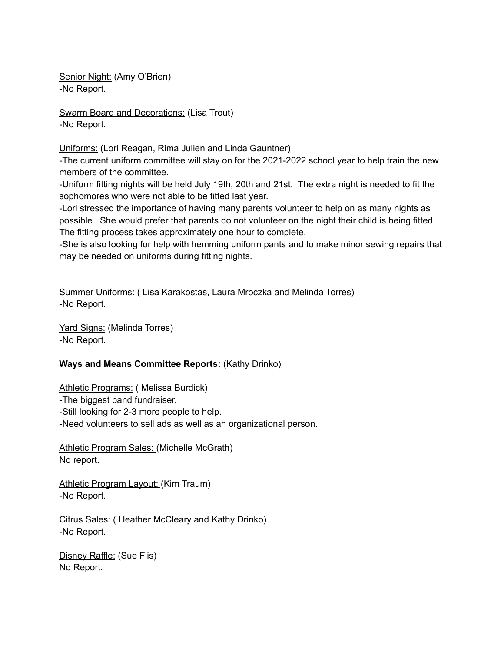Senior Night: (Amy O'Brien) -No Report.

Swarm Board and Decorations: (Lisa Trout) -No Report.

Uniforms: (Lori Reagan, Rima Julien and Linda Gauntner)

-The current uniform committee will stay on for the 2021-2022 school year to help train the new members of the committee.

-Uniform fitting nights will be held July 19th, 20th and 21st. The extra night is needed to fit the sophomores who were not able to be fitted last year.

-Lori stressed the importance of having many parents volunteer to help on as many nights as possible. She would prefer that parents do not volunteer on the night their child is being fitted. The fitting process takes approximately one hour to complete.

-She is also looking for help with hemming uniform pants and to make minor sewing repairs that may be needed on uniforms during fitting nights.

Summer Uniforms: ( Lisa Karakostas, Laura Mroczka and Melinda Torres) -No Report.

Yard Signs: (Melinda Torres) -No Report.

# **Ways and Means Committee Reports:** (Kathy Drinko)

Athletic Programs: ( Melissa Burdick)

-The biggest band fundraiser.

-Still looking for 2-3 more people to help.

-Need volunteers to sell ads as well as an organizational person.

Athletic Program Sales: (Michelle McGrath) No report.

Athletic Program Layout: (Kim Traum) -No Report.

Citrus Sales: ( Heather McCleary and Kathy Drinko) -No Report.

Disney Raffle: (Sue Flis) No Report.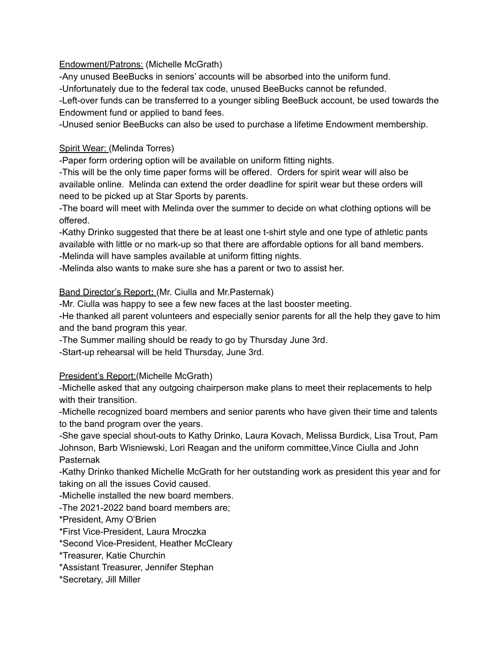Endowment/Patrons: (Michelle McGrath)

-Any unused BeeBucks in seniors' accounts will be absorbed into the uniform fund.

-Unfortunately due to the federal tax code, unused BeeBucks cannot be refunded.

-Left-over funds can be transferred to a younger sibling BeeBuck account, be used towards the Endowment fund or applied to band fees.

-Unused senior BeeBucks can also be used to purchase a lifetime Endowment membership.

## Spirit Wear: (Melinda Torres)

-Paper form ordering option will be available on uniform fitting nights.

-This will be the only time paper forms will be offered. Orders for spirit wear will also be available online. Melinda can extend the order deadline for spirit wear but these orders will need to be picked up at Star Sports by parents.

-The board will meet with Melinda over the summer to decide on what clothing options will be offered.

-Kathy Drinko suggested that there be at least one t-shirt style and one type of athletic pants available with little or no mark-up so that there are affordable options for all band members. -Melinda will have samples available at uniform fitting nights.

-Melinda also wants to make sure she has a parent or two to assist her.

## Band Director's Report**:** (Mr. Ciulla and Mr.Pasternak)

-Mr. Ciulla was happy to see a few new faces at the last booster meeting.

-He thanked all parent volunteers and especially senior parents for all the help they gave to him and the band program this year.

-The Summer mailing should be ready to go by Thursday June 3rd.

-Start-up rehearsal will be held Thursday, June 3rd.

# President's Report: (Michelle McGrath)

-Michelle asked that any outgoing chairperson make plans to meet their replacements to help with their transition.

-Michelle recognized board members and senior parents who have given their time and talents to the band program over the years.

-She gave special shout-outs to Kathy Drinko, Laura Kovach, Melissa Burdick, Lisa Trout, Pam Johnson, Barb Wisniewski, Lori Reagan and the uniform committee,Vince Ciulla and John Pasternak

-Kathy Drinko thanked Michelle McGrath for her outstanding work as president this year and for taking on all the issues Covid caused.

-Michelle installed the new board members.

-The 2021-2022 band board members are;

\*President, Amy O'Brien

\*First Vice-President, Laura Mroczka

\*Second Vice-President, Heather McCleary

\*Treasurer, Katie Churchin

\*Assistant Treasurer, Jennifer Stephan

\*Secretary, Jill Miller